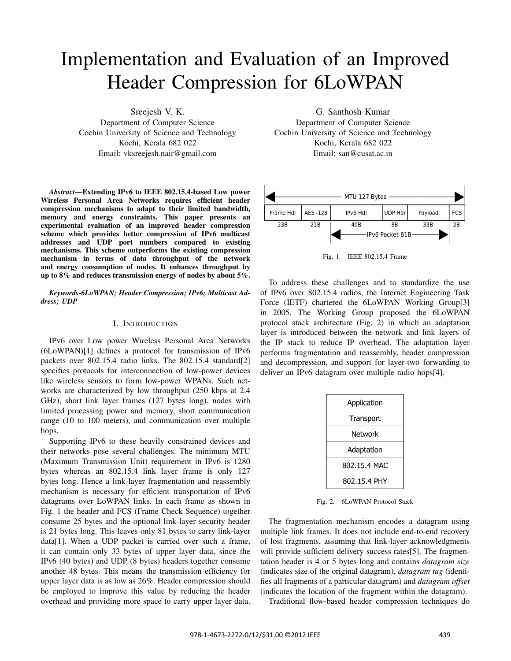# Implementation and Evaluation of an Improved Header Compression for 6LoWPAN

Sreejesh V. K.

Department of Computer Science Cochin University of Science and Technology Kochi, Kerala 682 022 Email: vksreejesh.nair@gmail.com

*Abstract*—Extending IPv6 to IEEE 802.15.4-based Low power Wireless Personal Area Networks requires efficient header compression mechanisms to adapt to their limited bandwidth, memory and energy constraints. This paper presents an experimental evaluation of an improved header compression scheme which provides better compression of IPv6 multicast addresses and UDP port numbers compared to existing mechanisms. This scheme outperforms the existing compression mechanism in terms of data throughput of the network and energy consumption of nodes. It enhances throughput by up to 8% and reduces transmission energy of nodes by about 5%.

*Keywords-6LoWPAN; Header Compression; IPv6; Multicast Address; UDP*

#### I. INTRODUCTION

IPv6 over Low power Wireless Personal Area Networks (6LoWPAN)[1] defines a protocol for transmission of IPv6 packets over 802.15.4 radio links. The 802.15.4 standard[2] specifies protocols for interconnection of low-power devices like wireless sensors to form low-power WPANs. Such networks are characterized by low throughput (250 kbps at 2.4 GHz), short link layer frames (127 bytes long), nodes with limited processing power and memory, short communication range (10 to 100 meters), and communication over multiple hops.

Supporting IPv6 to these heavily constrained devices and their networks pose several challenges. The minimum MTU (Maximum Transmission Unit) requirement in IPv6 is 1280 bytes whereas an 802.15.4 link layer frame is only 127 bytes long. Hence a link-layer fragmentation and reassembly mechanism is necessary for efficient transportation of IPv6 datagrams over LoWPAN links. In each frame as shown in Fig. 1 the header and FCS (Frame Check Sequence) together consume 25 bytes and the optional link-layer security header is 21 bytes long. This leaves only 81 bytes to carry link-layer data[1]. When a UDP packet is carried over such a frame, it can contain only 33 bytes of upper layer data, since the IPv6 (40 bytes) and UDP (8 bytes) headers together consume another 48 bytes. This means the transmission efficiency for upper layer data is as low as 26%. Header compression should be employed to improve this value by reducing the header overhead and providing more space to carry upper layer data.

G. Santhosh Kumar Department of Computer Science Cochin University of Science and Technology Kochi, Kerala 682 022 Email: san@cusat.ac.in



Fig. 1. IEEE 802.15.4 Frame

To address these challenges and to standardize the use of IPv6 over 802.15.4 radios, the Internet Engineering Task Force (IETF) chartered the 6LoWPAN Working Group[3] in 2005. The Working Group proposed the 6LoWPAN protocol stack architecture (Fig. 2) in which an adaptation layer is introduced between the network and link layers of the IP stack to reduce IP overhead. The adaptation layer performs fragmentation and reassembly, header compression and decompression, and support for layer-two forwarding to deliver an IPv6 datagram over multiple radio hops[4].

| Application  |  |  |  |  |  |
|--------------|--|--|--|--|--|
| Transport    |  |  |  |  |  |
| Network      |  |  |  |  |  |
| Adaptation   |  |  |  |  |  |
| 802.15.4 MAC |  |  |  |  |  |
| 802.15.4 PHY |  |  |  |  |  |

Fig. 2. 6LoWPAN Protocol Stack

The fragmentation mechanism encodes a datagram using multiple link frames. It does not include end-to-end recovery of lost fragments, assuming that link-layer acknowledgments will provide sufficient delivery success rates[5]. The fragmentation header is 4 or 5 bytes long and contains *datagram size* (indicates size of the original datagram), *datagram tag* (identifies all fragments of a particular datagram) and *datagram offset* (indicates the location of the fragment within the datagram).

Traditional flow-based header compression techniques do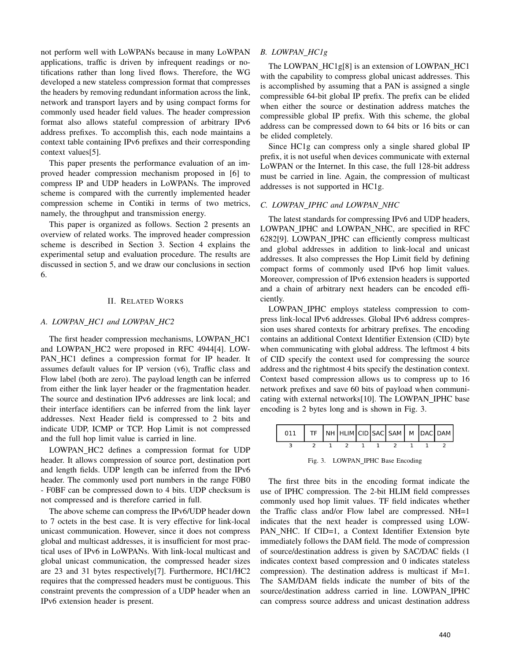not perform well with LoWPANs because in many LoWPAN applications, traffic is driven by infrequent readings or notifications rather than long lived flows. Therefore, the WG developed a new stateless compression format that compresses the headers by removing redundant information across the link, network and transport layers and by using compact forms for commonly used header field values. The header compression format also allows stateful compression of arbitrary IPv6 address prefixes. To accomplish this, each node maintains a context table containing IPv6 prefixes and their corresponding context values[5].

This paper presents the performance evaluation of an improved header compression mechanism proposed in [6] to compress IP and UDP headers in LoWPANs. The improved scheme is compared with the currently implemented header compression scheme in Contiki in terms of two metrics, namely, the throughput and transmission energy.

This paper is organized as follows. Section 2 presents an overview of related works. The improved header compression scheme is described in Section 3. Section 4 explains the experimental setup and evaluation procedure. The results are discussed in section 5, and we draw our conclusions in section 6.

## II. RELATED WORKS

## *A. LOWPAN HC1 and LOWPAN HC2*

The first header compression mechanisms, LOWPAN HC1 and LOWPAN\_HC2 were proposed in RFC 4944[4]. LOW-PAN HC1 defines a compression format for IP header. It assumes default values for IP version (v6), Traffic class and Flow label (both are zero). The payload length can be inferred from either the link layer header or the fragmentation header. The source and destination IPv6 addresses are link local; and their interface identifiers can be inferred from the link layer addresses. Next Header field is compressed to 2 bits and indicate UDP, ICMP or TCP. Hop Limit is not compressed and the full hop limit value is carried in line.

LOWPAN HC2 defines a compression format for UDP header. It allows compression of source port, destination port and length fields. UDP length can be inferred from the IPv6 header. The commonly used port numbers in the range F0B0 - F0BF can be compressed down to 4 bits. UDP checksum is not compressed and is therefore carried in full.

The above scheme can compress the IPv6/UDP header down to 7 octets in the best case. It is very effective for link-local unicast communication. However, since it does not compress global and multicast addresses, it is insufficient for most practical uses of IPv6 in LoWPANs. With link-local multicast and global unicast communication, the compressed header sizes are 23 and 31 bytes respectively[7]. Furthermore, HC1/HC2 requires that the compressed headers must be contiguous. This constraint prevents the compression of a UDP header when an IPv6 extension header is present.

# *B. LOWPAN HC1g*

The LOWPAN\_HC1g[8] is an extension of LOWPAN\_HC1 with the capability to compress global unicast addresses. This is accomplished by assuming that a PAN is assigned a single compressible 64-bit global IP prefix. The prefix can be elided when either the source or destination address matches the compressible global IP prefix. With this scheme, the global address can be compressed down to 64 bits or 16 bits or can be elided completely.

Since HC1g can compress only a single shared global IP prefix, it is not useful when devices communicate with external LoWPAN or the Internet. In this case, the full 128-bit address must be carried in line. Again, the compression of multicast addresses is not supported in HC1g.

## *C. LOWPAN IPHC and LOWPAN NHC*

The latest standards for compressing IPv6 and UDP headers, LOWPAN IPHC and LOWPAN NHC, are specified in RFC 6282[9]. LOWPAN IPHC can efficiently compress multicast and global addresses in addition to link-local and unicast addresses. It also compresses the Hop Limit field by defining compact forms of commonly used IPv6 hop limit values. Moreover, compression of IPv6 extension headers is supported and a chain of arbitrary next headers can be encoded efficiently.

LOWPAN IPHC employs stateless compression to compress link-local IPv6 addresses. Global IPv6 address compression uses shared contexts for arbitrary prefixes. The encoding contains an additional Context Identifier Extension (CID) byte when communicating with global address. The leftmost 4 bits of CID specify the context used for compressing the source address and the rightmost 4 bits specify the destination context. Context based compression allows us to compress up to 16 network prefixes and save 60 bits of payload when communicating with external networks[10]. The LOWPAN\_IPHC base encoding is 2 bytes long and is shown in Fig. 3.

| 011   TF   NH   HLIM   CID   SAC   SAM   M   DAC   DAM |  |  |  |  |  |
|--------------------------------------------------------|--|--|--|--|--|
|                                                        |  |  |  |  |  |

Fig. 3. LOWPAN\_IPHC Base Encoding

The first three bits in the encoding format indicate the use of IPHC compression. The 2-bit HLIM field compresses commonly used hop limit values. TF field indicates whether the Traffic class and/or Flow label are compressed. NH=1 indicates that the next header is compressed using LOW-PAN\_NHC. If CID=1, a Context Identifier Extension byte immediately follows the DAM field. The mode of compression of source/destination address is given by SAC/DAC fields (1 indicates context based compression and 0 indicates stateless compression). The destination address is multicast if M=1. The SAM/DAM fields indicate the number of bits of the source/destination address carried in line. LOWPAN\_IPHC can compress source address and unicast destination address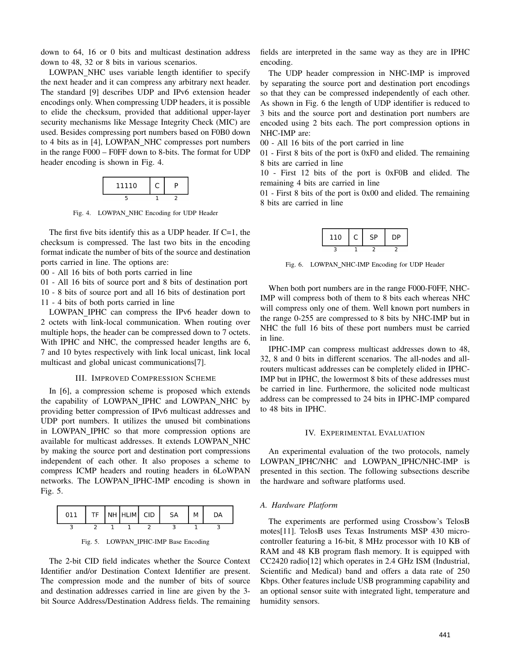down to 64, 16 or 0 bits and multicast destination address down to 48, 32 or 8 bits in various scenarios.

LOWPAN NHC uses variable length identifier to specify the next header and it can compress any arbitrary next header. The standard [9] describes UDP and IPv6 extension header encodings only. When compressing UDP headers, it is possible to elide the checksum, provided that additional upper-layer security mechanisms like Message Integrity Check (MIC) are used. Besides compressing port numbers based on F0B0 down to 4 bits as in [4], LOWPAN\_NHC compresses port numbers in the range F000 – F0FF down to 8-bits. The format for UDP header encoding is shown in Fig. 4.



Fig. 4. LOWPAN NHC Encoding for UDP Header

The first five bits identify this as a UDP header. If  $C=1$ , the checksum is compressed. The last two bits in the encoding format indicate the number of bits of the source and destination ports carried in line. The options are:

00 - All 16 bits of both ports carried in line

01 - All 16 bits of source port and 8 bits of destination port 10 - 8 bits of source port and all 16 bits of destination port 11 - 4 bits of both ports carried in line

LOWPAN IPHC can compress the IPv6 header down to 2 octets with link-local communication. When routing over multiple hops, the header can be compressed down to 7 octets. With IPHC and NHC, the compressed header lengths are 6, 7 and 10 bytes respectively with link local unicast, link local multicast and global unicast communications[7].

### III. IMPROVED COMPRESSION SCHEME

In [6], a compression scheme is proposed which extends the capability of LOWPAN IPHC and LOWPAN NHC by providing better compression of IPv6 multicast addresses and UDP port numbers. It utilizes the unused bit combinations in LOWPAN IPHC so that more compression options are available for multicast addresses. It extends LOWPAN\_NHC by making the source port and destination port compressions independent of each other. It also proposes a scheme to compress ICMP headers and routing headers in 6LoWPAN networks. The LOWPAN\_IPHC-IMP encoding is shown in Fig. 5.

| 011 |  | TF NH HLIM CID | <b>SA</b> | м |  |
|-----|--|----------------|-----------|---|--|
|     |  |                |           |   |  |



The 2-bit CID field indicates whether the Source Context Identifier and/or Destination Context Identifier are present. The compression mode and the number of bits of source and destination addresses carried in line are given by the 3 bit Source Address/Destination Address fields. The remaining

fields are interpreted in the same way as they are in IPHC encoding.

The UDP header compression in NHC-IMP is improved by separating the source port and destination port encodings so that they can be compressed independently of each other. As shown in Fig. 6 the length of UDP identifier is reduced to 3 bits and the source port and destination port numbers are encoded using 2 bits each. The port compression options in NHC-IMP are:

00 - All 16 bits of the port carried in line

01 - First 8 bits of the port is 0xF0 and elided. The remaining 8 bits are carried in line

10 - First 12 bits of the port is 0xF0B and elided. The remaining 4 bits are carried in line

01 - First 8 bits of the port is 0x00 and elided. The remaining 8 bits are carried in line

| 110 | ÷ | ςp | סר |
|-----|---|----|----|
|     |   |    |    |

Fig. 6. LOWPAN NHC-IMP Encoding for UDP Header

When both port numbers are in the range F000-F0FF, NHC-IMP will compress both of them to 8 bits each whereas NHC will compress only one of them. Well known port numbers in the range 0-255 are compressed to 8 bits by NHC-IMP but in NHC the full 16 bits of these port numbers must be carried in line.

IPHC-IMP can compress multicast addresses down to 48, 32, 8 and 0 bits in different scenarios. The all-nodes and allrouters multicast addresses can be completely elided in IPHC-IMP but in IPHC, the lowermost 8 bits of these addresses must be carried in line. Furthermore, the solicited node multicast address can be compressed to 24 bits in IPHC-IMP compared to 48 bits in IPHC.

## IV. EXPERIMENTAL EVALUATION

An experimental evaluation of the two protocols, namely LOWPAN IPHC/NHC and LOWPAN IPHC/NHC-IMP is presented in this section. The following subsections describe the hardware and software platforms used.

## *A. Hardware Platform*

The experiments are performed using Crossbow's TelosB motes[11]. TelosB uses Texas Instruments MSP 430 microcontroller featuring a 16-bit, 8 MHz processor with 10 KB of RAM and 48 KB program flash memory. It is equipped with CC2420 radio[12] which operates in 2.4 GHz ISM (Industrial, Scientific and Medical) band and offers a data rate of 250 Kbps. Other features include USB programming capability and an optional sensor suite with integrated light, temperature and humidity sensors.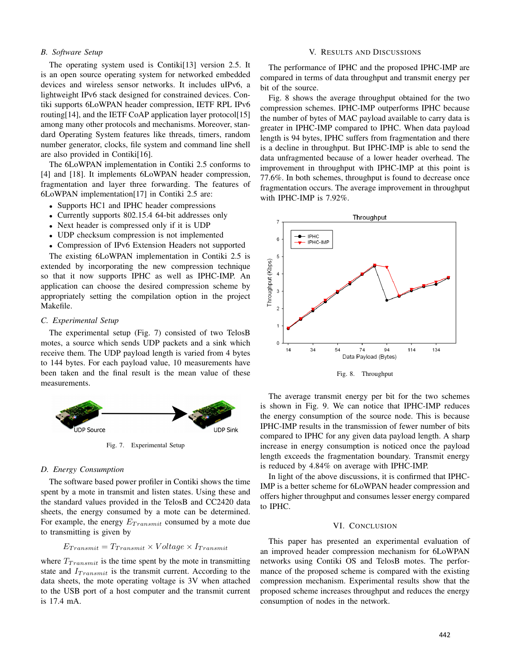# *B. Software Setup*

The operating system used is Contiki[13] version 2.5. It is an open source operating system for networked embedded devices and wireless sensor networks. It includes uIPv6, a lightweight IPv6 stack designed for constrained devices. Contiki supports 6LoWPAN header compression, IETF RPL IPv6 routing[14], and the IETF CoAP application layer protocol[15] among many other protocols and mechanisms. Moreover, standard Operating System features like threads, timers, random number generator, clocks, file system and command line shell are also provided in Contiki[16].

The 6LoWPAN implementation in Contiki 2.5 conforms to [4] and [18]. It implements 6LoWPAN header compression, fragmentation and layer three forwarding. The features of 6LoWPAN implementation[17] in Contiki 2.5 are:

- Supports HC1 and IPHC header compressions
- Currently supports 802.15.4 64-bit addresses only
- Next header is compressed only if it is UDP
- UDP checksum compression is not implemented
- Compression of IPv6 Extension Headers not supported

The existing 6LoWPAN implementation in Contiki 2.5 is extended by incorporating the new compression technique so that it now supports IPHC as well as IPHC-IMP. An application can choose the desired compression scheme by appropriately setting the compilation option in the project Makefile.

## *C. Experimental Setup*

The experimental setup (Fig. 7) consisted of two TelosB motes, a source which sends UDP packets and a sink which receive them. The UDP payload length is varied from 4 bytes to 144 bytes. For each payload value, 10 measurements have been taken and the final result is the mean value of these measurements.



Fig. 7. Experimental Setup

# *D. Energy Consumption*

The software based power profiler in Contiki shows the time spent by a mote in transmit and listen states. Using these and the standard values provided in the TelosB and CC2420 data sheets, the energy consumed by a mote can be determined. For example, the energy  $E_{Transmit}$  consumed by a mote due to transmitting is given by

$$
E_{Transmit} = T_{Transmit} \times Voltage \times I_{Transmit}
$$

where  $T_{Transmit}$  is the time spent by the mote in transmitting state and  $I_{Transmit}$  is the transmit current. According to the data sheets, the mote operating voltage is 3V when attached to the USB port of a host computer and the transmit current is 17.4 mA.

#### V. RESULTS AND DISCUSSIONS

The performance of IPHC and the proposed IPHC-IMP are compared in terms of data throughput and transmit energy per bit of the source.

Fig. 8 shows the average throughput obtained for the two compression schemes. IPHC-IMP outperforms IPHC because the number of bytes of MAC payload available to carry data is greater in IPHC-IMP compared to IPHC. When data payload length is 94 bytes, IPHC suffers from fragmentation and there is a decline in throughput. But IPHC-IMP is able to send the data unfragmented because of a lower header overhead. The improvement in throughput with IPHC-IMP at this point is 77.6%. In both schemes, throughput is found to decrease once fragmentation occurs. The average improvement in throughput with IPHC-IMP is 7.92%.



Fig. 8. Throughput

The average transmit energy per bit for the two schemes is shown in Fig. 9. We can notice that IPHC-IMP reduces the energy consumption of the source node. This is because IPHC-IMP results in the transmission of fewer number of bits compared to IPHC for any given data payload length. A sharp increase in energy consumption is noticed once the payload length exceeds the fragmentation boundary. Transmit energy is reduced by 4.84% on average with IPHC-IMP.

In light of the above discussions, it is confirmed that IPHC-IMP is a better scheme for 6LoWPAN header compression and offers higher throughput and consumes lesser energy compared to IPHC.

## VI. CONCLUSION

This paper has presented an experimental evaluation of an improved header compression mechanism for 6LoWPAN networks using Contiki OS and TelosB motes. The performance of the proposed scheme is compared with the existing compression mechanism. Experimental results show that the proposed scheme increases throughput and reduces the energy consumption of nodes in the network.